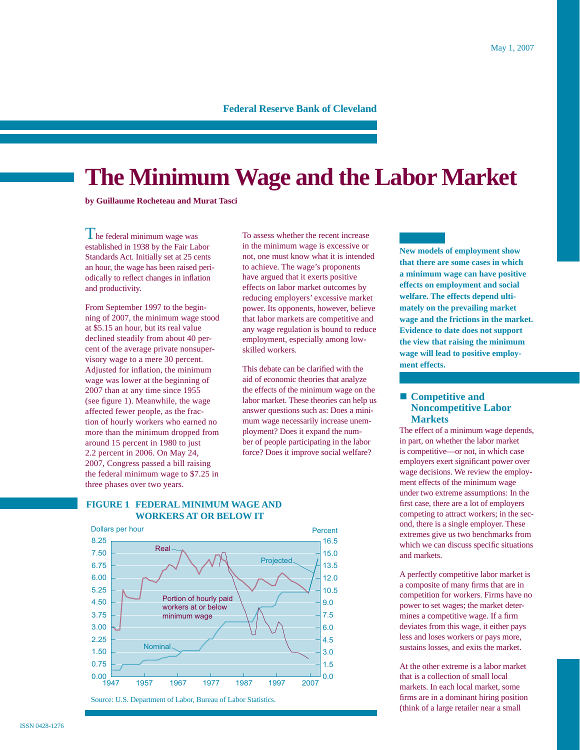# **Federal Reserve Bank of Cleveland**

# **The Minimum Wage and the Labor Market**

**by Guillaume Rocheteau and Murat Tasci** 

The federal minimum wage was established in 1938 by the Fair Labor Standards Act. Initially set at 25 cents an hour, the wage has been raised periodically to reflect changes in inflation and productivity.

From September 1997 to the beginning of 2007, the minimum wage stood at \$5.15 an hour, but its real value declined steadily from about 40 percent of the average private nonsupervisory wage to a mere 30 percent. Adjusted for inflation, the minimum wage was lower at the beginning of 2007 than at any time since 1955 (see figure 1). Meanwhile, the wage affected fewer people, as the fraction of hourly workers who earned no more than the minimum dropped from around 15 percent in 1980 to just 2.2 percent in 2006. On May 24, 2007, Congress passed a bill raising the federal minimum wage to \$7.25 in three phases over two years.

To assess whether the recent increase in the minimum wage is excessive or not, one must know what it is intended to achieve. The wage's proponents have argued that it exerts positive effects on labor market outcomes by reducing employers' excessive market power. Its opponents, however, believe that labor markets are competitive and any wage regulation is bound to reduce employment, especially among lowskilled workers.

This debate can be clarified with the aid of economic theories that analyze the effects of the minimum wage on the labor market. These theories can help us answer questions such as: Does a minimum wage necessarily increase unemployment? Does it expand the number of people participating in the labor force? Does it improve social welfare?

**New models of employment show that there are some cases in which a minimum wage can have positive effects on employment and social welfare. The effects depend ultimately on the prevailing market wage and the frictions in the market. Evidence to date does not support the view that raising the minimum wage will lead to positive employment effects.**

# ■ **Competitive and Noncompetitive Labor Markets**

The effect of a minimum wage depends, in part, on whether the labor market is competitive—or not, in which case employers exert significant power over wage decisions. We review the employment effects of the minimum wage under two extreme assumptions: In the first case, there are a lot of employers competing to attract workers; in the second, there is a single employer. These extremes give us two benchmarks from which we can discuss specific situations and markets.

A perfectly competitive labor market is a composite of many firms that are in competition for workers. Firms have no power to set wages; the market determines a competitive wage. If a firm deviates from this wage, it either pays less and loses workers or pays more, sustains losses, and exits the market.

At the other extreme is a labor market that is a collection of small local markets. In each local market, some firms are in a dominant hiring position (think of a large retailer near a small

# **FIGURE 1 FEDERAL MINIMUM WAGE AND WORKERS AT OR BELOW IT**



Source: U.S. Department of Labor, Bureau of Labor Statistics.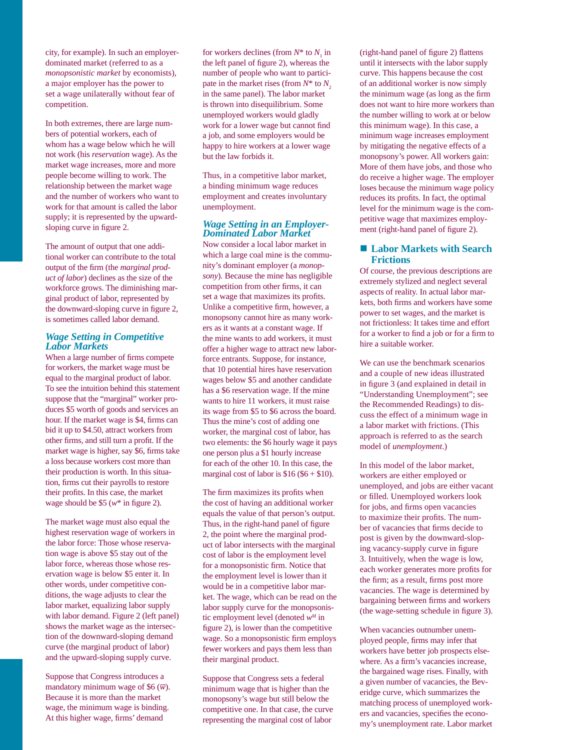city, for example). In such an employerdominated market (referred to as a *monopsonistic market* by economists), a major employer has the power to set a wage unilaterally without fear of competition.

In both extremes, there are large numbers of potential workers, each of whom has a wage below which he will not work (his *reservation* wage). As the market wage increases, more and more people become willing to work. The relationship between the market wage and the number of workers who want to work for that amount is called the labor supply; it is represented by the upwardsloping curve in figure 2.

The amount of output that one additional worker can contribute to the total output of the firm (the *marginal product of labor*) declines as the size of the workforce grows. The diminishing marginal product of labor, represented by the downward-sloping curve in figure 2, is sometimes called labor demand.

#### *Wage Setting in Competitive Labor Markets*

When a large number of firms compete for workers, the market wage must be equal to the marginal product of labor. To see the intuition behind this statement suppose that the "marginal" worker produces \$5 worth of goods and services an hour. If the market wage is \$4, firms can bid it up to \$4.50, attract workers from other firms, and still turn a profit. If the market wage is higher, say \$6, firms take a loss because workers cost more than their production is worth. In this situation, firms cut their payrolls to restore their profits. In this case, the market wage should be  $$5 (w^* \text{ in figure 2}).$ 

The market wage must also equal the highest reservation wage of workers in the labor force: Those whose reservation wage is above \$5 stay out of the labor force, whereas those whose reservation wage is below \$5 enter it. In other words, under competitive conditions, the wage adjusts to clear the labor market, equalizing labor supply with labor demand. Figure 2 (left panel) shows the market wage as the intersection of the downward-sloping demand curve (the marginal product of labor) and the upward-sloping supply curve.

Suppose that Congress introduces a mandatory minimum wage of \$6  $(\overline{w})$ . Because it is more than the market wage, the minimum wage is binding. At this higher wage, firms' demand

for workers declines (from  $N^*$  to  $N_1$  in the left panel of figure 2), whereas the number of people who want to participate in the market rises (from  $N^*$  to  $N<sub>2</sub>$ ) in the same panel). The labor market is thrown into disequilibrium. Some unemployed workers would gladly work for a lower wage but cannot find a job, and some employers would be happy to hire workers at a lower wage but the law forbids it.

Thus, in a competitive labor market, a binding minimum wage reduces employment and creates involuntary unemployment.

# *Wage Setting in an Employer-Dominated Labor Market*

Now consider a local labor market in which a large coal mine is the community's dominant employer (a *monopsony*). Because the mine has negligible competition from other firms, it can set a wage that maximizes its profits. Unlike a competitive firm, however, a monopsony cannot hire as many workers as it wants at a constant wage. If the mine wants to add workers, it must offer a higher wage to attract new laborforce entrants. Suppose, for instance, that 10 potential hires have reservation wages below \$5 and another candidate has a \$6 reservation wage. If the mine wants to hire 11 workers, it must raise its wage from \$5 to \$6 across the board. Thus the mine's cost of adding one worker, the marginal cost of labor, has two elements: the \$6 hourly wage it pays one person plus a \$1 hourly increase for each of the other 10. In this case, the marginal cost of labor is  $$16 ($6 + $10)$ .

The firm maximizes its profits when the cost of having an additional worker equals the value of that person's output. Thus, in the right-hand panel of figure 2, the point where the marginal product of labor intersects with the marginal cost of labor is the employment level for a monopsonistic firm. Notice that the employment level is lower than it would be in a competitive labor market. The wage, which can be read on the labor supply curve for the monopsonistic employment level (denoted *wM* in figure 2), is lower than the competitive wage. So a monopsonistic firm employs fewer workers and pays them less than their marginal product.

Suppose that Congress sets a federal minimum wage that is higher than the monopsony's wage but still below the competitive one. In that case, the curve representing the marginal cost of labor

(right-hand panel of figure 2) flattens until it intersects with the labor supply curve. This happens because the cost of an additional worker is now simply the minimum wage (as long as the firm does not want to hire more workers than the number willing to work at or below this minimum wage). In this case, a minimum wage increases employment by mitigating the negative effects of a monopsony's power. All workers gain: More of them have jobs, and those who do receive a higher wage. The employer loses because the minimum wage policy reduces its profits. In fact, the optimal level for the minimum wage is the competitive wage that maximizes employment (right-hand panel of figure 2).

## ■ Labor Markets with Search **Frictions**

Of course, the previous descriptions are extremely stylized and neglect several aspects of reality. In actual labor markets, both firms and workers have some power to set wages, and the market is not frictionless: It takes time and effort for a worker to find a job or for a firm to hire a suitable worker.

We can use the benchmark scenarios and a couple of new ideas illustrated in figure 3 (and explained in detail in "Understanding Unemployment"; see the Recommended Readings) to discuss the effect of a minimum wage in a labor market with frictions. (This approach is referred to as the search model of *unemployment*.)

In this model of the labor market, workers are either employed or unemployed, and jobs are either vacant or filled. Unemployed workers look for jobs, and firms open vacancies to maximize their profits. The number of vacancies that firms decide to post is given by the downward-sloping vacancy-supply curve in figure 3. Intuitively, when the wage is low, each worker generates more profits for the firm; as a result, firms post more vacancies. The wage is determined by bargaining between firms and workers (the wage-setting schedule in figure  $3$ ).

When vacancies outnumber unemployed people, firms may infer that workers have better job prospects elsewhere. As a firm's vacancies increase, the bargained wage rises. Finally, with a given number of vacancies, the Beveridge curve, which summarizes the matching process of unemployed workers and vacancies, specifies the economy's unemployment rate. Labor market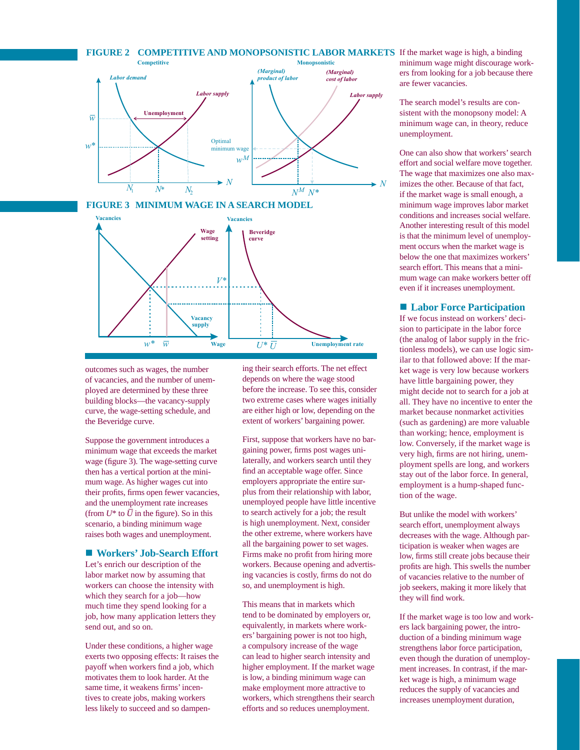#### **FIGURE 2 COMPETITIVE AND MONOPSONISTIC LABOR MARKETS** If the market wage is high, a binding







outcomes such as wages, the number of vacancies, and the number of unemployed are determined by these three building blocks—the vacancy-supply curve, the wage-setting schedule, and the Beveridge curve.

Suppose the government introduces a minimum wage that exceeds the market wage (figure 3). The wage-setting curve then has a vertical portion at the minimum wage. As higher wages cut into their profits, firms open fewer vacancies, and the unemployment rate increases (from  $U^*$  to  $\overline{U}$  in the figure). So in this scenario, a binding minimum wage raises both wages and unemployment.

#### ■ Workers' Job-Search Effort

Let's enrich our description of the labor market now by assuming that workers can choose the intensity with which they search for a job—how much time they spend looking for a job, how many application letters they send out, and so on.

Under these conditions, a higher wage exerts two opposing effects: It raises the payoff when workers find a job, which motivates them to look harder. At the same time, it weakens firms' incentives to create jobs, making workers less likely to succeed and so dampening their search efforts. The net effect depends on where the wage stood before the increase. To see this, consider two extreme cases where wages initially are either high or low, depending on the extent of workers' bargaining power.

First, suppose that workers have no bargaining power, firms post wages unilaterally, and workers search until they find an acceptable wage offer. Since employers appropriate the entire surplus from their relationship with labor, unemployed people have little incentive to search actively for a job; the result is high unemployment. Next, consider the other extreme, where workers have all the bargaining power to set wages. Firms make no profit from hiring more workers. Because opening and advertising vacancies is costly, firms do not do so, and unemployment is high.

This means that in markets which tend to be dominated by employers or, equivalently, in markets where workers' bargaining power is not too high, a compulsory increase of the wage can lead to higher search intensity and higher employment. If the market wage is low, a binding minimum wage can make employment more attractive to workers, which strengthens their search efforts and so reduces unemployment.

minimum wage might discourage workers from looking for a job because there are fewer vacancies.

The search model's results are consistent with the monopsony model: A minimum wage can, in theory, reduce unemployment.

One can also show that workers' search effort and social welfare move together. The wage that maximizes one also maximizes the other. Because of that fact, if the market wage is small enough, a minimum wage improves labor market conditions and increases social welfare. Another interesting result of this model is that the minimum level of unemployment occurs when the market wage is below the one that maximizes workers' search effort. This means that a minimum wage can make workers better off even if it increases unemployment.

#### ■ Labor Force Participation

If we focus instead on workers' decision to participate in the labor force (the analog of labor supply in the frictionless models), we can use logic similar to that followed above: If the market wage is very low because workers have little bargaining power, they might decide not to search for a job at all. They have no incentive to enter the market because nonmarket activities (such as gardening) are more valuable than working; hence, employment is low. Conversely, if the market wage is very high, firms are not hiring, unemployment spells are long, and workers stay out of the labor force. In general, employment is a hump-shaped function of the wage.

But unlike the model with workers' search effort, unemployment always decreases with the wage. Although participation is weaker when wages are low, firms still create jobs because their profits are high. This swells the number of vacancies relative to the number of job seekers, making it more likely that they will find work.

If the market wage is too low and workers lack bargaining power, the introduction of a binding minimum wage strengthens labor force participation, even though the duration of unemployment increases. In contrast, if the market wage is high, a minimum wage reduces the supply of vacancies and increases unemployment duration,